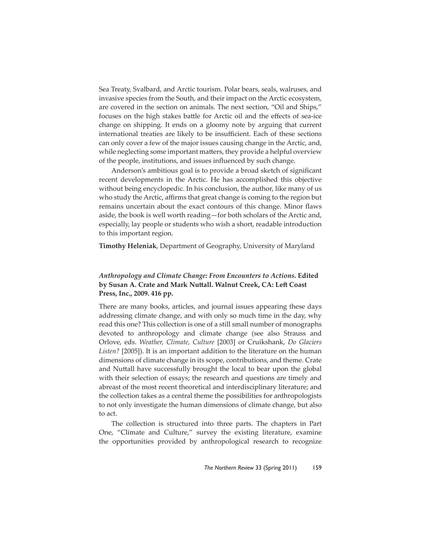Sea Treaty, Svalbard, and Arctic tourism. Polar bears, seals, walruses, and invasive species from the South, and their impact on the Arctic ecosystem, are covered in the section on animals. The next section, "Oil and Ships," focuses on the high stakes battle for Arctic oil and the effects of sea-ice change on shipping. It ends on a gloomy note by arguing that current international treaties are likely to be insufficient. Each of these sections can only cover a few of the major issues causing change in the Arctic, and, while neglecting some important matters, they provide a helpful overview of the people, institutions, and issues influenced by such change.

Anderson's ambitious goal is to provide a broad sketch of significant recent developments in the Arctic. He has accomplished this objective without being encyclopedic. In his conclusion, the author, like many of us who study the Arctic, affirms that great change is coming to the region but remains uncertain about the exact contours of this change. Minor flaws aside, the book is well worth reading—for both scholars of the Arctic and, especially, lay people or students who wish a short, readable introduction to this important region.

**Timothy Heleniak**, Department of Geography, University of Maryland

## *Anthropology and Climate Change: From Encounters to Actions***. Edited by Susan A. Crate and Mark Nuttall. Walnut Creek, CA: Left Coast Press, Inc., 2009. 416 pp.**

There are many books, articles, and journal issues appearing these days addressing climate change, and with only so much time in the day, why read this one? This collection is one of a still small number of monographs devoted to anthropology and climate change (see also Strauss and Orlove, eds. *Weather, Climate, Culture* [2003] or Cruikshank, *Do Glaciers Listen?* [2005]). It is an important addition to the literature on the human dimensions of climate change in its scope, contributions, and theme. Crate and Nuttall have successfully brought the local to bear upon the global with their selection of essays; the research and questions are timely and abreast of the most recent theoretical and interdisciplinary literature; and the collection takes as a central theme the possibilities for anthropologists to not only investigate the human dimensions of climate change, but also to act.

The collection is structured into three parts. The chapters in Part One, "Climate and Culture," survey the existing literature, examine the opportunities provided by anthropological research to recognize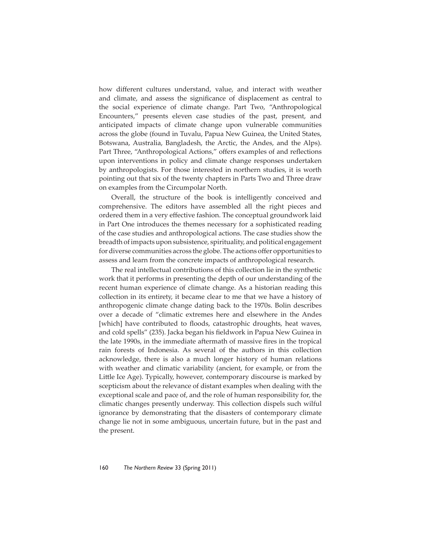how different cultures understand, value, and interact with weather and climate, and assess the significance of displacement as central to the social experience of climate change. Part Two, "Anthropological Encounters," presents eleven case studies of the past, present, and anticipated impacts of climate change upon vulnerable communities across the globe (found in Tuvalu, Papua New Guinea, the United States, Botswana, Australia, Bangladesh, the Arctic, the Andes, and the Alps). Part Three, "Anthropological Actions," offers examples of and reflections upon interventions in policy and climate change responses undertaken by anthropologists. For those interested in northern studies, it is worth pointing out that six of the twenty chapters in Parts Two and Three draw on examples from the Circumpolar North.

Overall, the structure of the book is intelligently conceived and comprehensive. The editors have assembled all the right pieces and ordered them in a very effective fashion. The conceptual groundwork laid in Part One introduces the themes necessary for a sophisticated reading of the case studies and anthropological actions. The case studies show the breadth of impacts upon subsistence, spirituality, and political engagement for diverse communities across the globe. The actions offer opportunities to assess and learn from the concrete impacts of anthropological research.

The real intellectual contributions of this collection lie in the synthetic work that it performs in presenting the depth of our understanding of the recent human experience of climate change. As a historian reading this collection in its entirety, it became clear to me that we have a history of anthropogenic climate change dating back to the 1970s. Bolin describes over a decade of "climatic extremes here and elsewhere in the Andes [which] have contributed to floods, catastrophic droughts, heat waves, and cold spells" (235). Jacka began his fieldwork in Papua New Guinea in the late 1990s, in the immediate aftermath of massive fires in the tropical rain forests of Indonesia. As several of the authors in this collection acknowledge, there is also a much longer history of human relations with weather and climatic variability (ancient, for example, or from the Little Ice Age). Typically, however, contemporary discourse is marked by scepticism about the relevance of distant examples when dealing with the exceptional scale and pace of, and the role of human responsibility for, the climatic changes presently underway. This collection dispels such wilful ignorance by demonstrating that the disasters of contemporary climate change lie not in some ambiguous, uncertain future, but in the past and the present.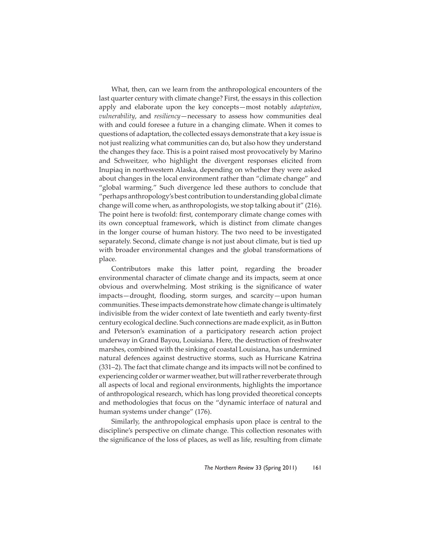What, then, can we learn from the anthropological encounters of the last quarter century with climate change? First, the essays in this collection apply and elaborate upon the key concepts—most notably *adaptation*, *vulnerability*, and *resiliency*—necessary to assess how communities deal with and could foresee a future in a changing climate. When it comes to questions of adaptation, the collected essays demonstrate that a key issue is not just realizing what communities can do, but also how they understand the changes they face. This is a point raised most provocatively by Marino and Schweitzer, who highlight the divergent responses elicited from Inupiaq in northwestern Alaska, depending on whether they were asked about changes in the local environment rather than "climate change" and "global warming." Such divergence led these authors to conclude that "perhaps anthropology's best contribution to understanding global climate change will come when, as anthropologists, we stop talking about it" (216). The point here is twofold: first, contemporary climate change comes with its own conceptual framework, which is distinct from climate changes in the longer course of human history. The two need to be investigated separately. Second, climate change is not just about climate, but is tied up with broader environmental changes and the global transformations of place.

Contributors make this latter point, regarding the broader environmental character of climate change and its impacts, seem at once obvious and overwhelming. Most striking is the significance of water impacts—drought, flooding, storm surges, and scarcity—upon human communities. These impacts demonstrate how climate change is ultimately indivisible from the wider context of late twentieth and early twenty-first century ecological decline. Such connections are made explicit, as in Button and Peterson's examination of a participatory research action project underway in Grand Bayou, Louisiana. Here, the destruction of freshwater marshes, combined with the sinking of coastal Louisiana, has undermined natural defences against destructive storms, such as Hurricane Katrina (331-2). The fact that climate change and its impacts will not be confined to experiencing colder or warmer weather, but will rather reverberate through all aspects of local and regional environments, highlights the importance of anthropological research, which has long provided theoretical concepts and methodologies that focus on the "dynamic interface of natural and human systems under change" (176).

Similarly, the anthropological emphasis upon place is central to the discipline's perspective on climate change. This collection resonates with the significance of the loss of places, as well as life, resulting from climate